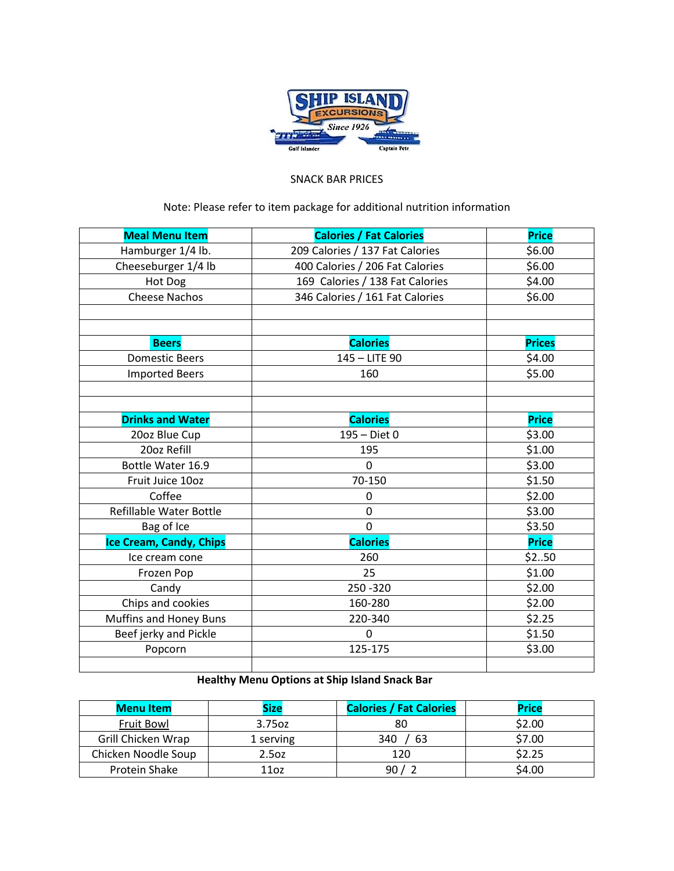

## SNACK BAR PRICES

## Note: Please refer to item package for additional nutrition information

| <b>Meal Menu Item</b>          | <b>Calories / Fat Calories</b>  | <b>Price</b>  |
|--------------------------------|---------------------------------|---------------|
| Hamburger 1/4 lb.              | 209 Calories / 137 Fat Calories | \$6.00        |
| Cheeseburger 1/4 lb            | 400 Calories / 206 Fat Calories | \$6.00        |
| Hot Dog                        | 169 Calories / 138 Fat Calories | \$4.00        |
| <b>Cheese Nachos</b>           | 346 Calories / 161 Fat Calories | \$6.00        |
|                                |                                 |               |
|                                |                                 |               |
| <b>Beers</b>                   | <b>Calories</b>                 | <b>Prices</b> |
| <b>Domestic Beers</b>          | 145 - LITE 90                   | \$4.00        |
| <b>Imported Beers</b>          | 160                             | \$5.00        |
|                                |                                 |               |
|                                |                                 |               |
| <b>Drinks and Water</b>        | <b>Calories</b>                 | <b>Price</b>  |
| 20oz Blue Cup                  | 195 - Diet 0                    | \$3.00        |
| 20oz Refill                    | 195                             | \$1.00        |
| Bottle Water 16.9              | 0                               | \$3.00        |
| Fruit Juice 10oz               | 70-150                          | \$1.50        |
| Coffee                         | 0                               | \$2.00        |
| Refillable Water Bottle        | 0                               | \$3.00        |
| Bag of Ice                     | 0                               | \$3.50        |
| <b>Ice Cream, Candy, Chips</b> | <b>Calories</b>                 | <b>Price</b>  |
| Ice cream cone                 | 260                             | \$250         |
| Frozen Pop                     | 25                              | \$1.00        |
| Candy                          | 250 - 320                       | \$2.00        |
| Chips and cookies              | 160-280                         | \$2.00        |
| Muffins and Honey Buns         | 220-340                         | \$2.25        |
| Beef jerky and Pickle          | $\Omega$                        | \$1.50        |
| Popcorn                        | 125-175                         | \$3.00        |
|                                |                                 |               |

## **Healthy Menu Options at Ship Island Snack Bar**

| <b>Menu Item</b>    | <b>Size</b> | <b>Calories / Fat Calories</b> | <b>Price</b> |
|---------------------|-------------|--------------------------------|--------------|
| Fruit Bowl          | 3.75oz      | 80                             | \$2.00       |
| Grill Chicken Wrap  | 1 serving   | 340<br>63                      | \$7.00       |
| Chicken Noodle Soup | 2.5oz       | 120                            | \$2.25       |
| Protein Shake       | 110z        | 90                             | \$4.00       |